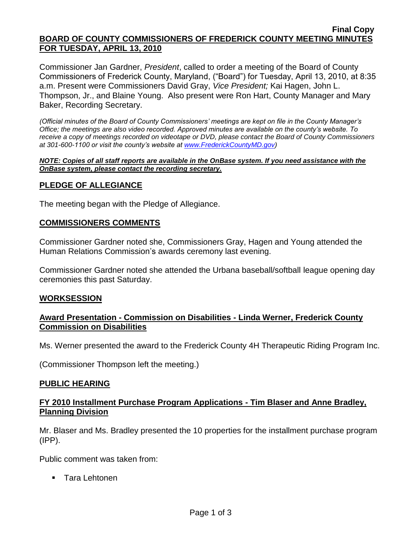#### **Final Copy BOARD OF COUNTY COMMISSIONERS OF FREDERICK COUNTY MEETING MINUTES FOR TUESDAY, APRIL 13, 2010**

Commissioner Jan Gardner, *President*, called to order a meeting of the Board of County Commissioners of Frederick County, Maryland, ("Board") for Tuesday, April 13, 2010, at 8:35 a.m. Present were Commissioners David Gray, *Vice President;* Kai Hagen, John L. Thompson, Jr., and Blaine Young. Also present were Ron Hart, County Manager and Mary Baker, Recording Secretary.

*(Official minutes of the Board of County Commissioners' meetings are kept on file in the County Manager's Office; the meetings are also video recorded. Approved minutes are available on the county's website. To receive a copy of meetings recorded on videotape or DVD, please contact the Board of County Commissioners at 301-600-1100 or visit the county's website at [www.FrederickCountyMD.gov\)](http://www.frederickcountymd.gov/)*

#### *NOTE: Copies of all staff reports are available in the OnBase system. If you need assistance with the OnBase system, please contact the recording secretary.*

# **PLEDGE OF ALLEGIANCE**

The meeting began with the Pledge of Allegiance.

## **COMMISSIONERS COMMENTS**

Commissioner Gardner noted she, Commissioners Gray, Hagen and Young attended the Human Relations Commission's awards ceremony last evening.

Commissioner Gardner noted she attended the Urbana baseball/softball league opening day ceremonies this past Saturday.

## **WORKSESSION**

## **Award Presentation - Commission on Disabilities - Linda Werner, Frederick County Commission on Disabilities**

Ms. Werner presented the award to the Frederick County 4H Therapeutic Riding Program Inc.

(Commissioner Thompson left the meeting.)

## **PUBLIC HEARING**

## **FY 2010 Installment Purchase Program Applications - Tim Blaser and Anne Bradley, Planning Division**

Mr. Blaser and Ms. Bradley presented the 10 properties for the installment purchase program (IPP).

Public comment was taken from:

**Tara Lehtonen**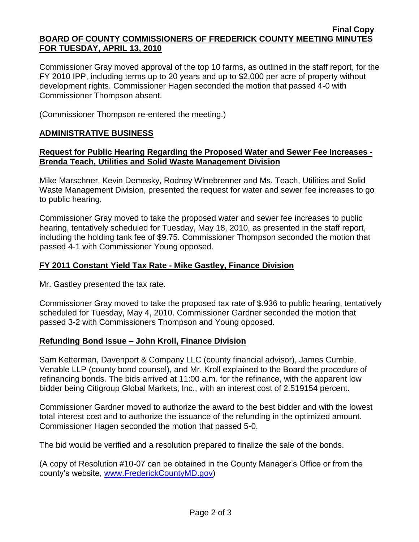#### **Final Copy BOARD OF COUNTY COMMISSIONERS OF FREDERICK COUNTY MEETING MINUTES FOR TUESDAY, APRIL 13, 2010**

Commissioner Gray moved approval of the top 10 farms, as outlined in the staff report, for the FY 2010 IPP, including terms up to 20 years and up to \$2,000 per acre of property without development rights. Commissioner Hagen seconded the motion that passed 4-0 with Commissioner Thompson absent.

(Commissioner Thompson re-entered the meeting.)

## **ADMINISTRATIVE BUSINESS**

#### **Request for Public Hearing Regarding the Proposed Water and Sewer Fee Increases - Brenda Teach, Utilities and Solid Waste Management Division**

Mike Marschner, Kevin Demosky, Rodney Winebrenner and Ms. Teach, Utilities and Solid Waste Management Division, presented the request for water and sewer fee increases to go to public hearing.

Commissioner Gray moved to take the proposed water and sewer fee increases to public hearing, tentatively scheduled for Tuesday, May 18, 2010, as presented in the staff report, including the holding tank fee of \$9.75. Commissioner Thompson seconded the motion that passed 4-1 with Commissioner Young opposed.

## **FY 2011 Constant Yield Tax Rate - Mike Gastley, Finance Division**

Mr. Gastley presented the tax rate.

Commissioner Gray moved to take the proposed tax rate of \$.936 to public hearing, tentatively scheduled for Tuesday, May 4, 2010. Commissioner Gardner seconded the motion that passed 3-2 with Commissioners Thompson and Young opposed.

## **Refunding Bond Issue – John Kroll, Finance Division**

Sam Ketterman, Davenport & Company LLC (county financial advisor), James Cumbie, Venable LLP (county bond counsel), and Mr. Kroll explained to the Board the procedure of refinancing bonds. The bids arrived at 11:00 a.m. for the refinance, with the apparent low bidder being Citigroup Global Markets, Inc., with an interest cost of 2.519154 percent.

Commissioner Gardner moved to authorize the award to the best bidder and with the lowest total interest cost and to authorize the issuance of the refunding in the optimized amount. Commissioner Hagen seconded the motion that passed 5-0.

The bid would be verified and a resolution prepared to finalize the sale of the bonds.

(A copy of Resolution #10-07 can be obtained in the County Manager's Office or from the county's website, [www.FrederickCountyMD.gov\)](http://www.frederickcountymd.gov/)